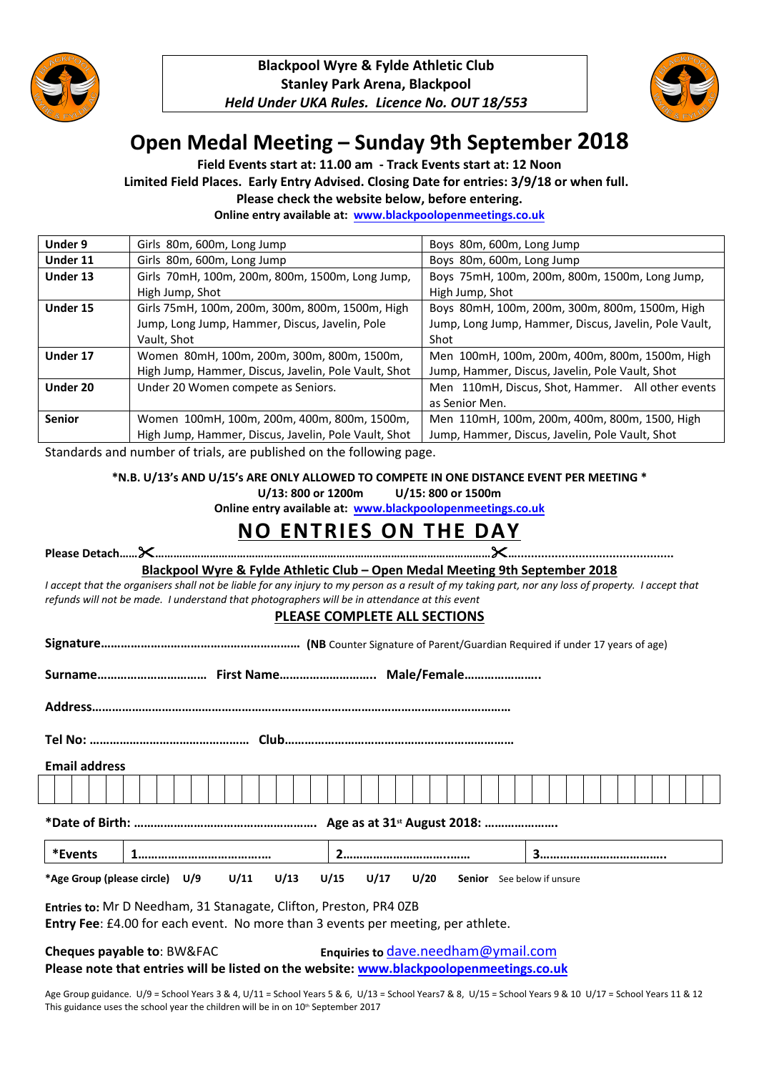



# **Open Medal Meeting – Sunday 9th September 2018**

**Field Events start at: 11.00 am - Track Events start at: 12 Noon**

**Limited Field Places. Early Entry Advised. Closing Date for entries: 3/9/18 or when full.** 

**Please check the website below, before entering.**

**Online entry available at: [www.blackpoolopenmeetings.co.uk](http://www.blackpoolopenmeetings.co.uk/)**

| Under 9  | Girls 80m, 600m, Long Jump                                          | Boys 80m, 600m, Long Jump                             |
|----------|---------------------------------------------------------------------|-------------------------------------------------------|
| Under 11 | Girls 80m, 600m, Long Jump                                          | Boys 80m, 600m, Long Jump                             |
| Under 13 | Girls 70mH, 100m, 200m, 800m, 1500m, Long Jump,                     | Boys 75mH, 100m, 200m, 800m, 1500m, Long Jump,        |
|          | High Jump, Shot                                                     | High Jump, Shot                                       |
| Under 15 | Girls 75mH, 100m, 200m, 300m, 800m, 1500m, High                     | Boys 80mH, 100m, 200m, 300m, 800m, 1500m, High        |
|          | Jump, Long Jump, Hammer, Discus, Javelin, Pole                      | Jump, Long Jump, Hammer, Discus, Javelin, Pole Vault, |
|          | Vault, Shot                                                         | Shot                                                  |
| Under 17 | Women 80mH, 100m, 200m, 300m, 800m, 1500m,                          | Men 100mH, 100m, 200m, 400m, 800m, 1500m, High        |
|          | High Jump, Hammer, Discus, Javelin, Pole Vault, Shot                | Jump, Hammer, Discus, Javelin, Pole Vault, Shot       |
| Under 20 | Under 20 Women compete as Seniors.                                  | Men 110mH, Discus, Shot, Hammer. All other events     |
|          |                                                                     | as Senior Men.                                        |
| Senior   | Women 100mH, 100m, 200m, 400m, 800m, 1500m,                         | Men 110mH, 100m, 200m, 400m, 800m, 1500, High         |
|          | High Jump, Hammer, Discus, Javelin, Pole Vault, Shot                | Jump, Hammer, Discus, Javelin, Pole Vault, Shot       |
|          | Ctondords and number of trials, are nublished on the following nage |                                                       |

Standards and number of trials, are published on the following page.

**\*N.B. U/13's AND U/15's ARE ONLY ALLOWED TO COMPETE IN ONE DISTANCE EVENT PER MEETING \***

**U/13: 800 or 1200m U/15: 800 or 1500m**

**Online entry available at: [www.blackpoolopenmeetings.co.uk](http://www.blackpoolopenmeetings.co.uk/)**

## **NO ENTRIES ON THE DAY**

|                      | Blackpool Wyre & Fylde Athletic Club - Open Medal Meeting 9th September 2018                                                                                                                                                                                                                                                                                                                                |                              |                      |  |  |                                   |  |  |  |  |  |
|----------------------|-------------------------------------------------------------------------------------------------------------------------------------------------------------------------------------------------------------------------------------------------------------------------------------------------------------------------------------------------------------------------------------------------------------|------------------------------|----------------------|--|--|-----------------------------------|--|--|--|--|--|
|                      | I accept that the organisers shall not be liable for any injury to my person as a result of my taking part, nor any loss of property. I accept that<br>refunds will not be made. I understand that photographers will be in attendance at this event                                                                                                                                                        |                              |                      |  |  |                                   |  |  |  |  |  |
|                      |                                                                                                                                                                                                                                                                                                                                                                                                             | PLEASE COMPLETE ALL SECTIONS |                      |  |  |                                   |  |  |  |  |  |
|                      |                                                                                                                                                                                                                                                                                                                                                                                                             |                              |                      |  |  |                                   |  |  |  |  |  |
|                      |                                                                                                                                                                                                                                                                                                                                                                                                             |                              |                      |  |  |                                   |  |  |  |  |  |
|                      |                                                                                                                                                                                                                                                                                                                                                                                                             |                              |                      |  |  |                                   |  |  |  |  |  |
|                      |                                                                                                                                                                                                                                                                                                                                                                                                             |                              |                      |  |  |                                   |  |  |  |  |  |
| <b>Email address</b> |                                                                                                                                                                                                                                                                                                                                                                                                             |                              |                      |  |  |                                   |  |  |  |  |  |
|                      |                                                                                                                                                                                                                                                                                                                                                                                                             |                              |                      |  |  |                                   |  |  |  |  |  |
|                      |                                                                                                                                                                                                                                                                                                                                                                                                             |                              |                      |  |  |                                   |  |  |  |  |  |
| *Events              |                                                                                                                                                                                                                                                                                                                                                                                                             |                              |                      |  |  |                                   |  |  |  |  |  |
|                      | *Age Group (please circle) U/9 U/11 U/13                                                                                                                                                                                                                                                                                                                                                                    |                              | $U/15$ $U/17$ $U/20$ |  |  | <b>Senior</b> See below if unsure |  |  |  |  |  |
|                      | Entries to: Mr D Needham, 31 Stanagate, Clifton, Preston, PR4 0ZB                                                                                                                                                                                                                                                                                                                                           |                              |                      |  |  |                                   |  |  |  |  |  |
|                      | Entry Fee: £4.00 for each event. No more than 3 events per meeting, per athlete.                                                                                                                                                                                                                                                                                                                            |                              |                      |  |  |                                   |  |  |  |  |  |
|                      | $\epsilon$ $\sim$ $\epsilon$ $\sim$ $\epsilon$ $\sim$ $\epsilon$ $\sim$ $\epsilon$ $\sim$ $\epsilon$ $\sim$ $\epsilon$ $\sim$ $\epsilon$ $\sim$ $\epsilon$ $\sim$ $\epsilon$ $\sim$ $\epsilon$ $\sim$ $\epsilon$ $\sim$ $\epsilon$ $\sim$ $\epsilon$ $\sim$ $\epsilon$ $\sim$ $\epsilon$ $\sim$ $\epsilon$ $\sim$ $\epsilon$ $\sim$ $\epsilon$ $\sim$ $\epsilon$ $\sim$ $\epsilon$ $\sim$ $\epsilon$ $\sim$ |                              |                      |  |  |                                   |  |  |  |  |  |

**Cheques payable to**: BW&FAC **Enquiries to** [dave.needham@ymail.com](mailto:dave.needham@ymail.com)

**Please note that entries will be listed on the website: [www.blackpoolopenmeetings.co.uk](file:///E:\My%20Documents\Home\Athletics\Open%20Meeting%20Sept%202017\www.blackpoolopenmeetings.co.uk)**

Age Group guidance. U/9 = School Years 3 & 4, U/11 = School Years 5 & 6, U/13 = School Years7 & 8, U/15 = School Years 9 & 10 U/17 = School Years 11 & 12 This guidance uses the school year the children will be in on  $10<sup>th</sup>$  September 2017